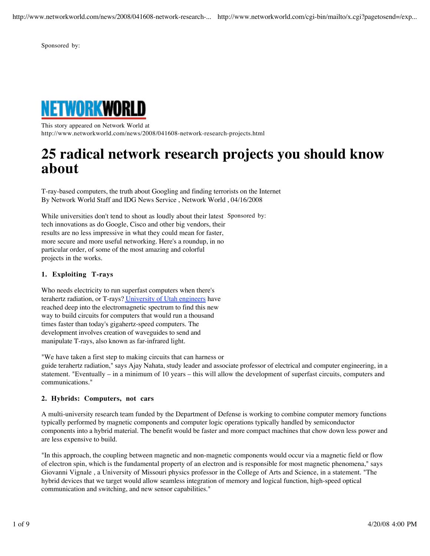http://www.networkworld.com/news/2008/041608-network-research-... http://www.networkworld.com/cgi-bin/mailto/x.cgi?pagetosend=/exp...

Sponsored by:



This story appeared on Network World at http://www.networkworld.com/news/2008/041608-network-research-projects.html

# **25 radical network research projects you should know about**

T-ray-based computers, the truth about Googling and finding terrorists on the Internet By Network World Staff and IDG News Service , Network World , 04/16/2008

While universities don't tend to shout as loudly about their latest Sponsored by: tech innovations as do Google, Cisco and other big vendors, their results are no less impressive in what they could mean for faster, more secure and more useful networking. Here's a roundup, in no particular order, of some of the most amazing and colorful projects in the works.

## **1. Exploiting T-rays**

Who needs electricity to run superfast computers when there's terahertz radiation, or T-rays? University of Utah engineers have reached deep into the electromagnetic spectrum to find this new way to build circuits for computers that would run a thousand times faster than today's gigahertz-speed computers. The development involves creation of waveguides to send and manipulate T-rays, also known as far-infrared light.

"We have taken a first step to making circuits that can harness or guide terahertz radiation," says Ajay Nahata, study leader and associate professor of electrical and computer engineering, in a statement. "Eventually – in a minimum of 10 years – this will allow the development of superfast circuits, computers and communications."

## **2. Hybrids: Computers, not cars**

A multi-university research team funded by the Department of Defense is working to combine computer memory functions typically performed by magnetic components and computer logic operations typically handled by semiconductor components into a hybrid material. The benefit would be faster and more compact machines that chow down less power and are less expensive to build.

"In this approach, the coupling between magnetic and non-magnetic components would occur via a magnetic field or flow of electron spin, which is the fundamental property of an electron and is responsible for most magnetic phenomena," says Giovanni Vignale , a University of Missouri physics professor in the College of Arts and Science, in a statement. "The hybrid devices that we target would allow seamless integration of memory and logical function, high-speed optical communication and switching, and new sensor capabilities."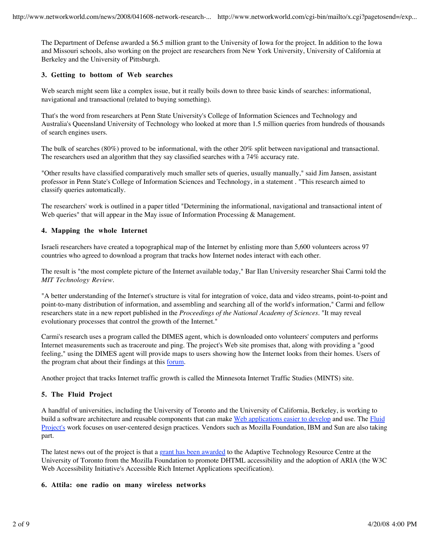The Department of Defense awarded a \$6.5 million grant to the University of Iowa for the project. In addition to the Iowa and Missouri schools, also working on the project are researchers from New York University, University of California at Berkeley and the University of Pittsburgh.

## **3. Getting to bottom of Web searches**

Web search might seem like a complex issue, but it really boils down to three basic kinds of searches: informational, navigational and transactional (related to buying something).

That's the word from researchers at Penn State University's College of Information Sciences and Technology and Australia's Queensland University of Technology who looked at more than 1.5 million queries from hundreds of thousands of search engines users.

The bulk of searches (80%) proved to be informational, with the other 20% split between navigational and transactional. The researchers used an algorithm that they say classified searches with a 74% accuracy rate.

"Other results have classified comparatively much smaller sets of queries, usually manually," said Jim Jansen, assistant professor in Penn State's College of Information Sciences and Technology, in a statement . "This research aimed to classify queries automatically.

The researchers' work is outlined in a paper titled "Determining the informational, navigational and transactional intent of Web queries" that will appear in the May issue of Information Processing & Management.

#### **4. Mapping the whole Internet**

Israeli researchers have created a topographical map of the Internet by enlisting more than 5,600 volunteers across 97 countries who agreed to download a program that tracks how Internet nodes interact with each other.

The result is "the most complete picture of the Internet available today," Bar Ilan University researcher Shai Carmi told the *MIT Technology Review*.

"A better understanding of the Internet's structure is vital for integration of voice, data and video streams, point-to-point and point-to-many distribution of information, and assembling and searching all of the world's information," Carmi and fellow researchers state in a new report published in the *Proceedings of the National Academy of Sciences*. "It may reveal evolutionary processes that control the growth of the Internet."

Carmi's research uses a program called the DIMES agent, which is downloaded onto volunteers' computers and performs Internet measurements such as traceroute and ping. The project's Web site promises that, along with providing a "good feeling," using the DIMES agent will provide maps to users showing how the Internet looks from their homes. Users of the program chat about their findings at this forum.

Another project that tracks Internet traffic growth is called the Minnesota Internet Traffic Studies (MINTS) site.

## **5. The Fluid Project**

A handful of universities, including the University of Toronto and the University of California, Berkeley, is working to build a software architecture and reusable components that can make Web applications easier to develop and use. The Fluid Project's work focuses on user-centered design practices. Vendors such as Mozilla Foundation, IBM and Sun are also taking part.

The latest news out of the project is that a grant has been awarded to the Adaptive Technology Resource Centre at the University of Toronto from the Mozilla Foundation to promote DHTML accessibility and the adoption of ARIA (the W3C Web Accessibility Initiative's Accessible Rich Internet Applications specification).

#### **6. Attila: one radio on many wireless networks**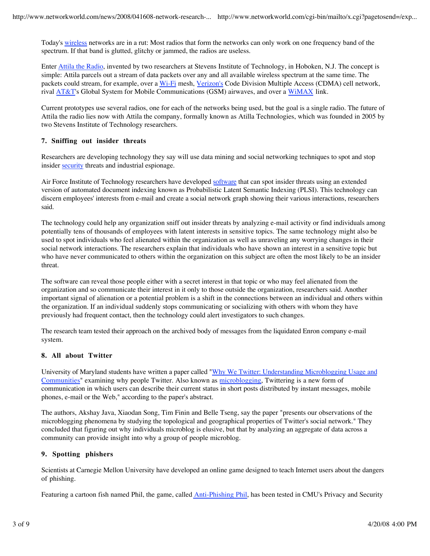Today's wireless networks are in a rut: Most radios that form the networks can only work on one frequency band of the spectrum. If that band is glutted, glitchy or jammed, the radios are useless.

Enter Attila the Radio, invented by two researchers at Stevens Institute of Technology, in Hoboken, N.J. The concept is simple: Attila parcels out a stream of data packets over any and all available wireless spectrum at the same time. The packets could stream, for example, over a Wi-Fi mesh, Verizon's Code Division Multiple Access (CDMA) cell network, rival AT&T's Global System for Mobile Communications (GSM) airwaves, and over a WiMAX link.

Current prototypes use several radios, one for each of the networks being used, but the goal is a single radio. The future of Attila the radio lies now with Attila the company, formally known as Atilla Technologies, which was founded in 2005 by two Stevens Institute of Technology researchers.

# **7. Sniffing out insider threats**

Researchers are developing technology they say will use data mining and social networking techniques to spot and stop insider security threats and industrial espionage.

Air Force Institute of Technology researchers have developed software that can spot insider threats using an extended version of automated document indexing known as Probabilistic Latent Semantic Indexing (PLSI). This technology can discern employees' interests from e-mail and create a social network graph showing their various interactions, researchers said.

The technology could help any organization sniff out insider threats by analyzing e-mail activity or find individuals among potentially tens of thousands of employees with latent interests in sensitive topics. The same technology might also be used to spot individuals who feel alienated within the organization as well as unraveling any worrying changes in their social network interactions. The researchers explain that individuals who have shown an interest in a sensitive topic but who have never communicated to others within the organization on this subject are often the most likely to be an insider threat.

The software can reveal those people either with a secret interest in that topic or who may feel alienated from the organization and so communicate their interest in it only to those outside the organization, researchers said. Another important signal of alienation or a potential problem is a shift in the connections between an individual and others within the organization. If an individual suddenly stops communicating or socializing with others with whom they have previously had frequent contact, then the technology could alert investigators to such changes.

The research team tested their approach on the archived body of messages from the liquidated Enron company e-mail system.

## **8. All about Twitter**

University of Maryland students have written a paper called "Why We Twitter: Understanding Microblogging Usage and Communities" examining why people Twitter. Also known as microblogging, Twittering is a new form of communication in which users can describe their current status in short posts distributed by instant messages, mobile phones, e-mail or the Web," according to the paper's abstract.

The authors, Akshay Java, Xiaodan Song, Tim Finin and Belle Tseng, say the paper "presents our observations of the microblogging phenomena by studying the topological and geographical properties of Twitter's social network." They concluded that figuring out why individuals microblog is elusive, but that by analyzing an aggregate of data across a community can provide insight into why a group of people microblog.

## **9. Spotting phishers**

Scientists at Carnegie Mellon University have developed an online game designed to teach Internet users about the dangers of phishing.

Featuring a cartoon fish named Phil, the game, called *Anti-Phishing Phil*, has been tested in CMU's Privacy and Security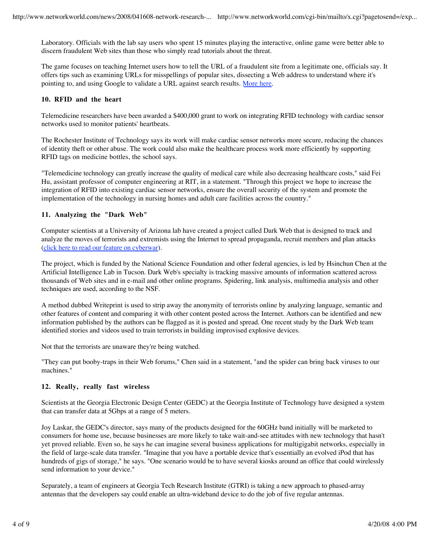Laboratory. Officials with the lab say users who spent 15 minutes playing the interactive, online game were better able to discern fraudulent Web sites than those who simply read tutorials about the threat.

The game focuses on teaching Internet users how to tell the URL of a fraudulent site from a legitimate one, officials say. It offers tips such as examining URLs for misspellings of popular sites, dissecting a Web address to understand where it's pointing to, and using Google to validate a URL against search results. More here.

#### **10. RFID and the heart**

Telemedicine researchers have been awarded a \$400,000 grant to work on integrating RFID technology with cardiac sensor networks used to monitor patients' heartbeats.

The Rochester Institute of Technology says its work will make cardiac sensor networks more secure, reducing the chances of identity theft or other abuse. The work could also make the healthcare process work more efficiently by supporting RFID tags on medicine bottles, the school says.

"Telemedicine technology can greatly increase the quality of medical care while also decreasing healthcare costs," said Fei Hu, assistant professor of computer engineering at RIT, in a statement. "Through this project we hope to increase the integration of RFID into existing cardiac sensor networks, ensure the overall security of the system and promote the implementation of the technology in nursing homes and adult care facilities across the country."

## **11. Analyzing the "Dark Web"**

Computer scientists at a University of Arizona lab have created a project called Dark Web that is designed to track and analyze the moves of terrorists and extremists using the Internet to spread propaganda, recruit members and plan attacks (click here to read our feature on cyberwar).

The project, which is funded by the National Science Foundation and other federal agencies, is led by Hsinchun Chen at the Artificial Intelligence Lab in Tucson. Dark Web's specialty is tracking massive amounts of information scattered across thousands of Web sites and in e-mail and other online programs. Spidering, link analysis, multimedia analysis and other techniques are used, according to the NSF.

A method dubbed Writeprint is used to strip away the anonymity of terrorists online by analyzing language, semantic and other features of content and comparing it with other content posted across the Internet. Authors can be identified and new information published by the authors can be flagged as it is posted and spread. One recent study by the Dark Web team identified stories and videos used to train terrorists in building improvised explosive devices.

Not that the terrorists are unaware they're being watched.

"They can put booby-traps in their Web forums," Chen said in a statement, "and the spider can bring back viruses to our machines."

#### **12. Really, really fast wireless**

Scientists at the Georgia Electronic Design Center (GEDC) at the Georgia Institute of Technology have designed a system that can transfer data at 5Gbps at a range of 5 meters.

Joy Laskar, the GEDC's director, says many of the products designed for the 60GHz band initially will be marketed to consumers for home use, because businesses are more likely to take wait-and-see attitudes with new technology that hasn't yet proved reliable. Even so, he says he can imagine several business applications for multigigabit networks, especially in the field of large-scale data transfer. "Imagine that you have a portable device that's essentially an evolved iPod that has hundreds of gigs of storage," he says. "One scenario would be to have several kiosks around an office that could wirelessly send information to your device."

Separately, a team of engineers at Georgia Tech Research Institute (GTRI) is taking a new approach to phased-array antennas that the developers say could enable an ultra-wideband device to do the job of five regular antennas.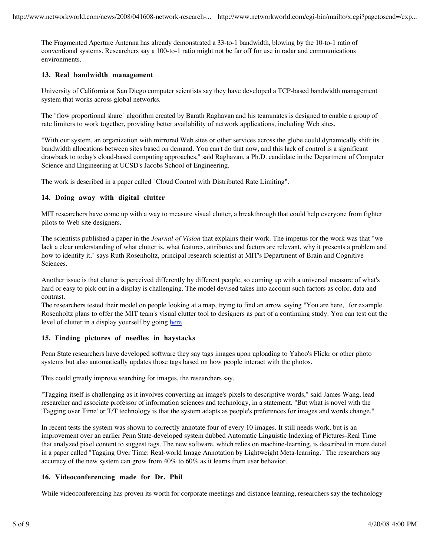The Fragmented Aperture Antenna has already demonstrated a 33-to-1 bandwidth, blowing by the 10-to-1 ratio of conventional systems. Researchers say a 100-to-1 ratio might not be far off for use in radar and communications environments.

## **13. Real bandwidth management**

University of California at San Diego computer scientists say they have developed a TCP-based bandwidth management system that works across global networks.

The "flow proportional share" algorithm created by Barath Raghavan and his teammates is designed to enable a group of rate limiters to work together, providing better availability of network applications, including Web sites.

"With our system, an organization with mirrored Web sites or other services across the globe could dynamically shift its bandwidth allocations between sites based on demand. You can't do that now, and this lack of control is a significant drawback to today's cloud-based computing approaches," said Raghavan, a Ph.D. candidate in the Department of Computer Science and Engineering at UCSD's Jacobs School of Engineering.

The work is described in a paper called "Cloud Control with Distributed Rate Limiting".

#### **14. Doing away with digital clutter**

MIT researchers have come up with a way to measure visual clutter, a breakthrough that could help everyone from fighter pilots to Web site designers.

The scientists published a paper in the *Journal of Vision* that explains their work. The impetus for the work was that "we lack a clear understanding of what clutter is, what features, attributes and factors are relevant, why it presents a problem and how to identify it," says Ruth Rosenholtz, principal research scientist at MIT's Department of Brain and Cognitive Sciences.

Another issue is that clutter is perceived differently by different people, so coming up with a universal measure of what's hard or easy to pick out in a display is challenging. The model devised takes into account such factors as color, data and contrast.

The researchers tested their model on people looking at a map, trying to find an arrow saying "You are here," for example. Rosenholtz plans to offer the MIT team's visual clutter tool to designers as part of a continuing study. You can test out the level of clutter in a display yourself by going here.

## **15. Finding pictures of needles in haystacks**

Penn State researchers have developed software they say tags images upon uploading to Yahoo's Flickr or other photo systems but also automatically updates those tags based on how people interact with the photos.

This could greatly improve searching for images, the researchers say.

"Tagging itself is challenging as it involves converting an image's pixels to descriptive words," said James Wang, lead researcher and associate professor of information sciences and technology, in a statement. "But what is novel with the 'Tagging over Time' or T/T technology is that the system adapts as people's preferences for images and words change."

In recent tests the system was shown to correctly annotate four of every 10 images. It still needs work, but is an improvement over an earlier Penn State-developed system dubbed Automatic Linguistic Indexing of Pictures-Real Time that analyzed pixel content to suggest tags. The new software, which relies on machine-learning, is described in more detail in a paper called "Tagging Over Time: Real-world Image Annotation by Lightweight Meta-learning." The researchers say accuracy of the new system can grow from 40% to 60% as it learns from user behavior.

#### **16. Videoconferencing made for Dr. Phil**

While videoconferencing has proven its worth for corporate meetings and distance learning, researchers say the technology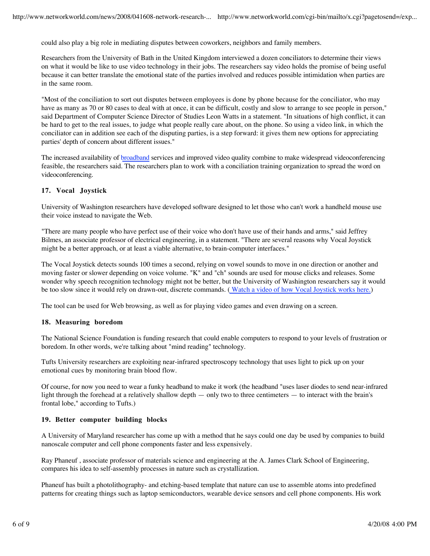could also play a big role in mediating disputes between coworkers, neighbors and family members.

Researchers from the University of Bath in the United Kingdom interviewed a dozen conciliators to determine their views on what it would be like to use video technology in their jobs. The researchers say video holds the promise of being useful because it can better translate the emotional state of the parties involved and reduces possible intimidation when parties are in the same room.

"Most of the conciliation to sort out disputes between employees is done by phone because for the conciliator, who may have as many as 70 or 80 cases to deal with at once, it can be difficult, costly and slow to arrange to see people in person," said Department of Computer Science Director of Studies Leon Watts in a statement. "In situations of high conflict, it can be hard to get to the real issues, to judge what people really care about, on the phone. So using a video link, in which the conciliator can in addition see each of the disputing parties, is a step forward: it gives them new options for appreciating parties' depth of concern about different issues."

The increased availability of broadband services and improved video quality combine to make widespread videoconferencing feasible, the researchers said. The researchers plan to work with a conciliation training organization to spread the word on videoconferencing.

# **17. Vocal Joystick**

University of Washington researchers have developed software designed to let those who can't work a handheld mouse use their voice instead to navigate the Web.

"There are many people who have perfect use of their voice who don't have use of their hands and arms," said Jeffrey Bilmes, an associate professor of electrical engineering, in a statement. "There are several reasons why Vocal Joystick might be a better approach, or at least a viable alternative, to brain-computer interfaces."

The Vocal Joystick detects sounds 100 times a second, relying on vowel sounds to move in one direction or another and moving faster or slower depending on voice volume. "K" and "ch" sounds are used for mouse clicks and releases. Some wonder why speech recognition technology might not be better, but the University of Washington researchers say it would be too slow since it would rely on drawn-out, discrete commands. ( Watch a video of how Vocal Joystick works here.)

The tool can be used for Web browsing, as well as for playing video games and even drawing on a screen.

## **18. Measuring boredom**

The National Science Foundation is funding research that could enable computers to respond to your levels of frustration or boredom. In other words, we're talking about "mind reading" technology.

Tufts University researchers are exploiting near-infrared spectroscopy technology that uses light to pick up on your emotional cues by monitoring brain blood flow.

Of course, for now you need to wear a funky headband to make it work (the headband "uses laser diodes to send near-infrared light through the forehead at a relatively shallow depth — only two to three centimeters — to interact with the brain's frontal lobe," according to Tufts.)

## **19. Better computer building blocks**

A University of Maryland researcher has come up with a method that he says could one day be used by companies to build nanoscale computer and cell phone components faster and less expensively.

Ray Phaneuf , associate professor of materials science and engineering at the A. James Clark School of Engineering, compares his idea to self-assembly processes in nature such as crystallization.

Phaneuf has built a photolithography- and etching-based template that nature can use to assemble atoms into predefined patterns for creating things such as laptop semiconductors, wearable device sensors and cell phone components. His work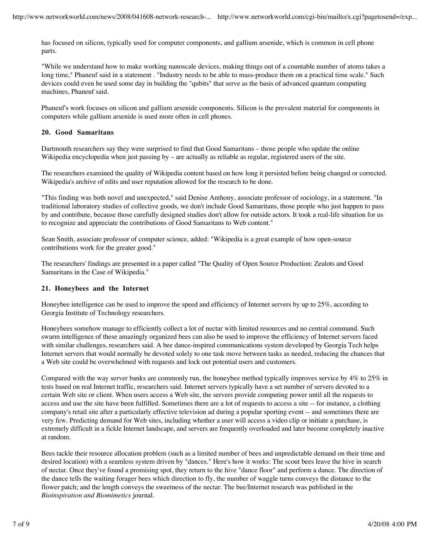has focused on silicon, typically used for computer components, and gallium arsenide, which is common in cell phone parts.

"While we understand how to make working nanoscale devices, making things out of a countable number of atoms takes a long time," Phaneuf said in a statement . "Industry needs to be able to mass-produce them on a practical time scale." Such devices could even be used some day in building the "qubits" that serve as the basis of advanced quantum computing machines, Phaneuf said.

Phaneuf's work focuses on silicon and gallium arsenide components. Silicon is the prevalent material for components in computers while gallium arsenide is used more often in cell phones.

## **20. Good Samaritans**

Dartmouth researchers say they were surprised to find that Good Samaritans – those people who update the online Wikipedia encyclopedia when just passing by – are actually as reliable as regular, registered users of the site.

The researchers examined the quality of Wikipedia content based on how long it persisted before being changed or corrected. Wikipedia's archive of edits and user reputation allowed for the research to be done.

"This finding was both novel and unexpected," said Denise Anthony, associate professor of sociology, in a statement. "In traditional laboratory studies of collective goods, we don't include Good Samaritans, those people who just happen to pass by and contribute, because those carefully designed studies don't allow for outside actors. It took a real-life situation for us to recognize and appreciate the contributions of Good Samaritans to Web content."

Sean Smith, associate professor of computer science, added: "Wikipedia is a great example of how open-source contributions work for the greater good."

The researchers' findings are presented in a paper called "The Quality of Open Source Production: Zealots and Good Samaritans in the Case of Wikipedia."

#### **21. Honeybees and the Internet**

Honeybee intelligence can be used to improve the speed and efficiency of Internet servers by up to 25%, according to Georgia Institute of Technology researchers.

Honeybees somehow manage to efficiently collect a lot of nectar with limited resources and no central command. Such swarm intelligence of these amazingly organized bees can also be used to improve the efficiency of Internet servers faced with similar challenges, researchers said. A bee dance-inspired communications system developed by Georgia Tech helps Internet servers that would normally be devoted solely to one task move between tasks as needed, reducing the chances that a Web site could be overwhelmed with requests and lock out potential users and customers.

Compared with the way server banks are commonly run, the honeybee method typically improves service by 4% to 25% in tests based on real Internet traffic, researchers said. Internet servers typically have a set number of servers devoted to a certain Web site or client. When users access a Web site, the servers provide computing power until all the requests to access and use the site have been fulfilled. Sometimes there are a lot of requests to access a site -- for instance, a clothing company's retail site after a particularly effective television ad during a popular sporting event -- and sometimes there are very few. Predicting demand for Web sites, including whether a user will access a video clip or initiate a purchase, is extremely difficult in a fickle Internet landscape, and servers are frequently overloaded and later become completely inactive at random.

Bees tackle their resource allocation problem (such as a limited number of bees and unpredictable demand on their time and desired location) with a seamless system driven by "dances." Here's how it works: The scout bees leave the hive in search of nectar. Once they've found a promising spot, they return to the hive "dance floor" and perform a dance. The direction of the dance tells the waiting forager bees which direction to fly, the number of waggle turns conveys the distance to the flower patch; and the length conveys the sweetness of the nectar. The bee/Internet research was published in the *Bioinspiration and Biomimetics* journal.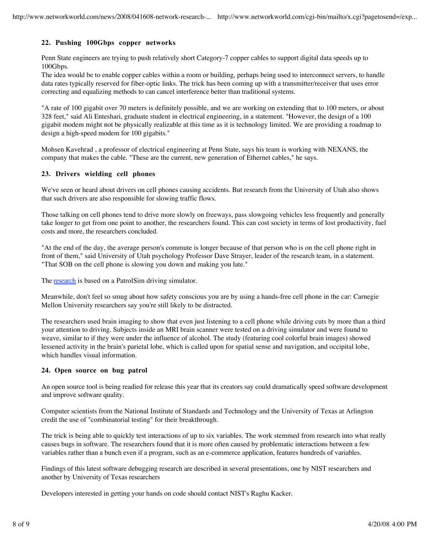# **22. Pushing 100Gbps copper networks**

Penn State engineers are trying to push relatively short Category-7 copper cables to support digital data speeds up to 100Gbps.

The idea would be to enable copper cables within a room or building, perhaps being used to interconnect servers, to handle data rates typically reserved for fiber-optic links. The trick has been coming up with a transmitter/receiver that uses error correcting and equalizing methods to can cancel interference better than traditional systems.

"A rate of 100 gigabit over 70 meters is definitely possible, and we are working on extending that to 100 meters, or about 328 feet," said Ali Enteshari, graduate student in electrical engineering, in a statement. "However, the design of a 100 gigabit modem might not be physically realizable at this time as it is technology limited. We are providing a roadmap to design a high-speed modem for 100 gigabits."

Mohsen Kavehrad , a professor of electrical engineering at Penn State, says his team is working with NEXANS, the company that makes the cable. "These are the current, new generation of Ethernet cables," he says.

#### **23. Drivers wielding cell phones**

We've seen or heard about drivers on cell phones causing accidents. But research from the University of Utah also shows that such drivers are also responsible for slowing traffic flows.

Those talking on cell phones tend to drive more slowly on freeways, pass slowgoing vehicles less frequently and generally take longer to get from one point to another, the researchers found. This can cost society in terms of lost productivity, fuel costs and more, the researchers concluded.

"At the end of the day, the average person's commute is longer because of that person who is on the cell phone right in front of them," said University of Utah psychology Professor Dave Strayer, leader of the research team, in a statement. "That SOB on the cell phone is slowing you down and making you late."

The research is based on a PatrolSim driving simulator.

Meanwhile, don't feel so smug about how safety conscious you are by using a hands-free cell phone in the car: Carnegie Mellon University researchers say you're still likely to be distracted.

The researchers used brain imaging to show that even just listening to a cell phone while driving cuts by more than a third your attention to driving. Subjects inside an MRI brain scanner were tested on a driving simulator and were found to weave, similar to if they were under the influence of alcohol. The study (featuring cool colorful brain images) showed lessened activity in the brain's parietal lobe, which is called upon for spatial sense and navigation, and occipital lobe, which handles visual information.

## **24. Open source on bug patrol**

An open source tool is being readied for release this year that its creators say could dramatically speed software development and improve software quality.

Computer scientists from the National Institute of Standards and Technology and the University of Texas at Arlington credit the use of "combinatorial testing" for their breakthrough.

The trick is being able to quickly test interactions of up to six variables. The work stemmed from research into what really causes bugs in software. The researchers found that it is more often caused by problematic interactions between a few variables rather than a bunch even if a program, such as an e-commerce application, features hundreds of variables.

Findings of this latest software debugging research are described in several presentations, one by NIST researchers and another by University of Texas researchers

Developers interested in getting your hands on code should contact NIST's Raghu Kacker.